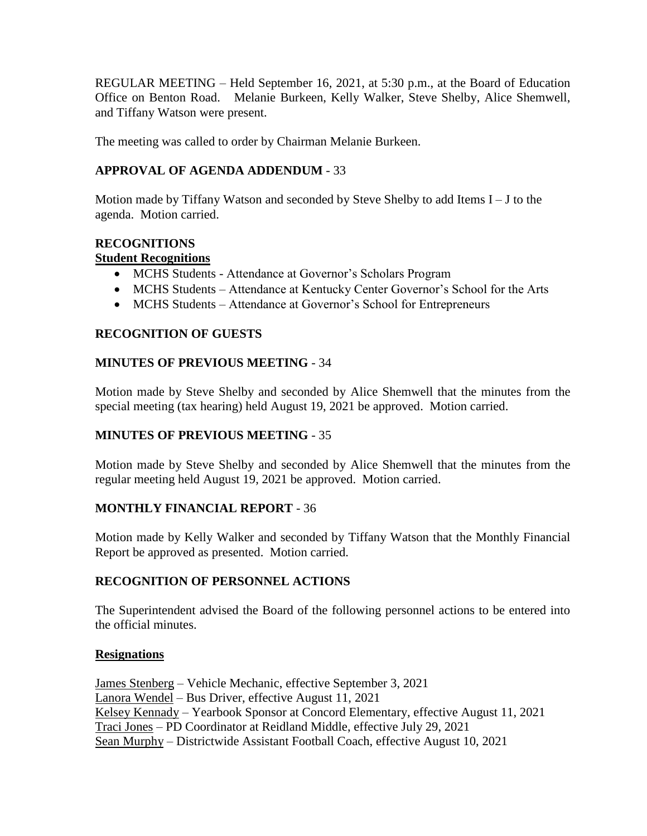REGULAR MEETING – Held September 16, 2021, at 5:30 p.m., at the Board of Education Office on Benton Road. Melanie Burkeen, Kelly Walker, Steve Shelby, Alice Shemwell, and Tiffany Watson were present.

The meeting was called to order by Chairman Melanie Burkeen.

# **APPROVAL OF AGENDA ADDENDUM** - 33

Motion made by Tiffany Watson and seconded by Steve Shelby to add Items I – J to the agenda. Motion carried.

# **RECOGNITIONS**

# **Student Recognitions**

- MCHS Students Attendance at Governor's Scholars Program
- MCHS Students Attendance at Kentucky Center Governor's School for the Arts
- MCHS Students Attendance at Governor's School for Entrepreneurs

# **RECOGNITION OF GUESTS**

# **MINUTES OF PREVIOUS MEETING** - 34

Motion made by Steve Shelby and seconded by Alice Shemwell that the minutes from the special meeting (tax hearing) held August 19, 2021 be approved. Motion carried.

# **MINUTES OF PREVIOUS MEETING** - 35

Motion made by Steve Shelby and seconded by Alice Shemwell that the minutes from the regular meeting held August 19, 2021 be approved. Motion carried.

# **MONTHLY FINANCIAL REPORT** - 36

Motion made by Kelly Walker and seconded by Tiffany Watson that the Monthly Financial Report be approved as presented. Motion carried.

# **RECOGNITION OF PERSONNEL ACTIONS**

The Superintendent advised the Board of the following personnel actions to be entered into the official minutes.

# **Resignations**

James Stenberg – Vehicle Mechanic, effective September 3, 2021 Lanora Wendel – Bus Driver, effective August 11, 2021 Kelsey Kennady – Yearbook Sponsor at Concord Elementary, effective August 11, 2021 Traci Jones – PD Coordinator at Reidland Middle, effective July 29, 2021 Sean Murphy – Districtwide Assistant Football Coach, effective August 10, 2021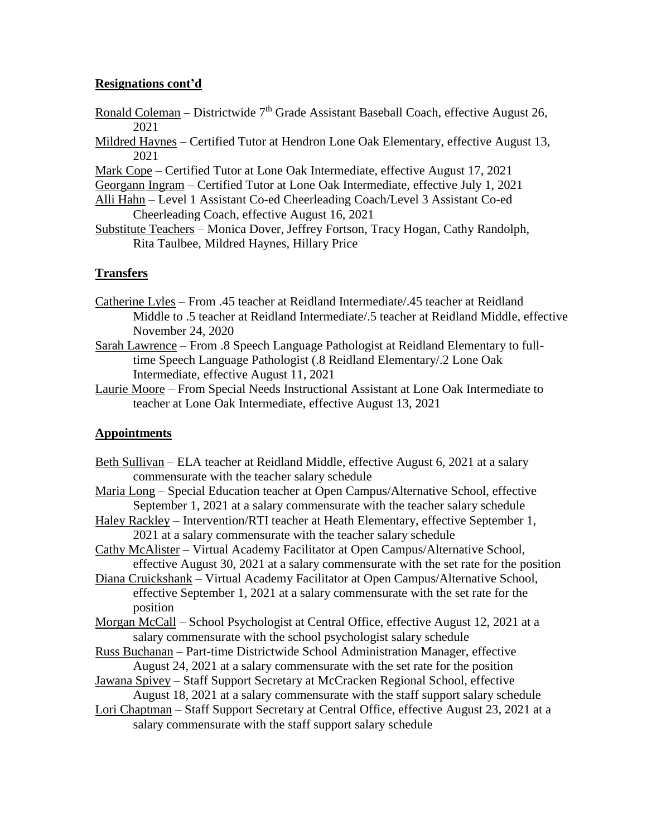## **Resignations cont'd**

- Ronald Coleman Districtwide  $7<sup>th</sup>$  Grade Assistant Baseball Coach, effective August 26, 2021
- Mildred Haynes Certified Tutor at Hendron Lone Oak Elementary, effective August 13, 2021

Mark Cope – Certified Tutor at Lone Oak Intermediate, effective August 17, 2021

Georgann Ingram – Certified Tutor at Lone Oak Intermediate, effective July 1, 2021

Alli Hahn – Level 1 Assistant Co-ed Cheerleading Coach/Level 3 Assistant Co-ed Cheerleading Coach, effective August 16, 2021

Substitute Teachers – Monica Dover, Jeffrey Fortson, Tracy Hogan, Cathy Randolph, Rita Taulbee, Mildred Haynes, Hillary Price

# **Transfers**

- Catherine Lyles From .45 teacher at Reidland Intermediate/.45 teacher at Reidland Middle to .5 teacher at Reidland Intermediate/.5 teacher at Reidland Middle, effective November 24, 2020
- Sarah Lawrence From .8 Speech Language Pathologist at Reidland Elementary to fulltime Speech Language Pathologist (.8 Reidland Elementary/.2 Lone Oak Intermediate, effective August 11, 2021
- Laurie Moore From Special Needs Instructional Assistant at Lone Oak Intermediate to teacher at Lone Oak Intermediate, effective August 13, 2021

# **Appointments**

- Beth Sullivan ELA teacher at Reidland Middle, effective August 6, 2021 at a salary commensurate with the teacher salary schedule
- Maria Long Special Education teacher at Open Campus/Alternative School, effective September 1, 2021 at a salary commensurate with the teacher salary schedule
- Haley Rackley Intervention/RTI teacher at Heath Elementary, effective September 1, 2021 at a salary commensurate with the teacher salary schedule

Cathy McAlister – Virtual Academy Facilitator at Open Campus/Alternative School, effective August 30, 2021 at a salary commensurate with the set rate for the position

Diana Cruickshank – Virtual Academy Facilitator at Open Campus/Alternative School, effective September 1, 2021 at a salary commensurate with the set rate for the position

Morgan McCall – School Psychologist at Central Office, effective August 12, 2021 at a salary commensurate with the school psychologist salary schedule

Russ Buchanan – Part-time Districtwide School Administration Manager, effective August 24, 2021 at a salary commensurate with the set rate for the position

Jawana Spivey – Staff Support Secretary at McCracken Regional School, effective August 18, 2021 at a salary commensurate with the staff support salary schedule

Lori Chaptman – Staff Support Secretary at Central Office, effective August 23, 2021 at a salary commensurate with the staff support salary schedule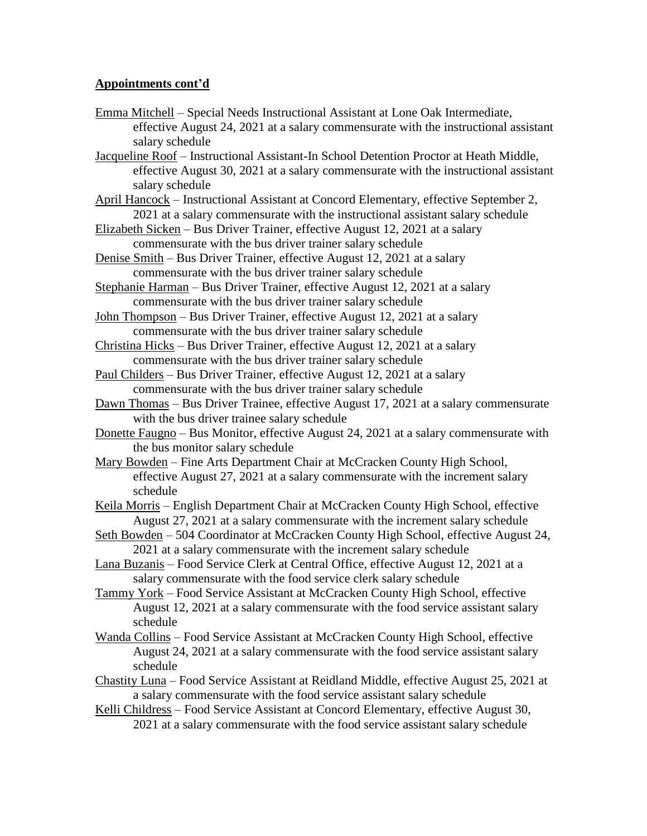- Emma Mitchell Special Needs Instructional Assistant at Lone Oak Intermediate, effective August 24, 2021 at a salary commensurate with the instructional assistant salary schedule
- Jacqueline Roof Instructional Assistant-In School Detention Proctor at Heath Middle, effective August 30, 2021 at a salary commensurate with the instructional assistant salary schedule
- April Hancock Instructional Assistant at Concord Elementary, effective September 2, 2021 at a salary commensurate with the instructional assistant salary schedule
- Elizabeth Sicken Bus Driver Trainer, effective August 12, 2021 at a salary commensurate with the bus driver trainer salary schedule
- Denise Smith Bus Driver Trainer, effective August 12, 2021 at a salary commensurate with the bus driver trainer salary schedule
- Stephanie Harman Bus Driver Trainer, effective August 12, 2021 at a salary commensurate with the bus driver trainer salary schedule
- John Thompson Bus Driver Trainer, effective August 12, 2021 at a salary commensurate with the bus driver trainer salary schedule
- Christina Hicks Bus Driver Trainer, effective August 12, 2021 at a salary commensurate with the bus driver trainer salary schedule
- Paul Childers Bus Driver Trainer, effective August 12, 2021 at a salary commensurate with the bus driver trainer salary schedule
- Dawn Thomas Bus Driver Trainee, effective August 17, 2021 at a salary commensurate with the bus driver trainee salary schedule
- Donette Faugno Bus Monitor, effective August 24, 2021 at a salary commensurate with the bus monitor salary schedule
- Mary Bowden Fine Arts Department Chair at McCracken County High School, effective August 27, 2021 at a salary commensurate with the increment salary schedule
- Keila Morris English Department Chair at McCracken County High School, effective August 27, 2021 at a salary commensurate with the increment salary schedule
- Seth Bowden 504 Coordinator at McCracken County High School, effective August 24, 2021 at a salary commensurate with the increment salary schedule
- Lana Buzanis Food Service Clerk at Central Office, effective August 12, 2021 at a salary commensurate with the food service clerk salary schedule
- Tammy York Food Service Assistant at McCracken County High School, effective August 12, 2021 at a salary commensurate with the food service assistant salary schedule
- Wanda Collins Food Service Assistant at McCracken County High School, effective August 24, 2021 at a salary commensurate with the food service assistant salary schedule
- Chastity Luna Food Service Assistant at Reidland Middle, effective August 25, 2021 at a salary commensurate with the food service assistant salary schedule
- Kelli Childress Food Service Assistant at Concord Elementary, effective August 30, 2021 at a salary commensurate with the food service assistant salary schedule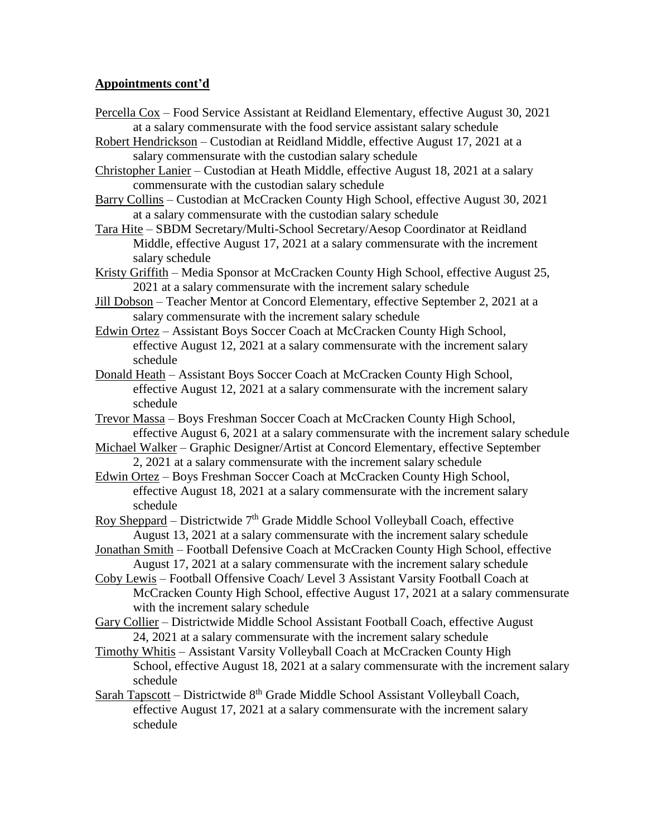- Percella Cox Food Service Assistant at Reidland Elementary, effective August 30, 2021 at a salary commensurate with the food service assistant salary schedule
- Robert Hendrickson Custodian at Reidland Middle, effective August 17, 2021 at a salary commensurate with the custodian salary schedule
- Christopher Lanier Custodian at Heath Middle, effective August 18, 2021 at a salary commensurate with the custodian salary schedule
- Barry Collins Custodian at McCracken County High School, effective August 30, 2021 at a salary commensurate with the custodian salary schedule
- Tara Hite SBDM Secretary/Multi-School Secretary/Aesop Coordinator at Reidland Middle, effective August 17, 2021 at a salary commensurate with the increment salary schedule
- Kristy Griffith Media Sponsor at McCracken County High School, effective August 25, 2021 at a salary commensurate with the increment salary schedule
- Jill Dobson Teacher Mentor at Concord Elementary, effective September 2, 2021 at a salary commensurate with the increment salary schedule
- Edwin Ortez Assistant Boys Soccer Coach at McCracken County High School, effective August 12, 2021 at a salary commensurate with the increment salary schedule
- Donald Heath Assistant Boys Soccer Coach at McCracken County High School, effective August 12, 2021 at a salary commensurate with the increment salary schedule
- Trevor Massa Boys Freshman Soccer Coach at McCracken County High School, effective August 6, 2021 at a salary commensurate with the increment salary schedule
- Michael Walker Graphic Designer/Artist at Concord Elementary, effective September 2, 2021 at a salary commensurate with the increment salary schedule
- Edwin Ortez Boys Freshman Soccer Coach at McCracken County High School, effective August 18, 2021 at a salary commensurate with the increment salary schedule
- Roy Sheppard Districtwide  $7<sup>th</sup>$  Grade Middle School Volleyball Coach, effective August 13, 2021 at a salary commensurate with the increment salary schedule
- Jonathan Smith Football Defensive Coach at McCracken County High School, effective August 17, 2021 at a salary commensurate with the increment salary schedule
- Coby Lewis Football Offensive Coach/ Level 3 Assistant Varsity Football Coach at McCracken County High School, effective August 17, 2021 at a salary commensurate with the increment salary schedule
- Gary Collier Districtwide Middle School Assistant Football Coach, effective August 24, 2021 at a salary commensurate with the increment salary schedule
- Timothy Whitis Assistant Varsity Volleyball Coach at McCracken County High School, effective August 18, 2021 at a salary commensurate with the increment salary schedule
- Sarah Tapscott Districtwide  $8<sup>th</sup>$  Grade Middle School Assistant Volleyball Coach, effective August 17, 2021 at a salary commensurate with the increment salary schedule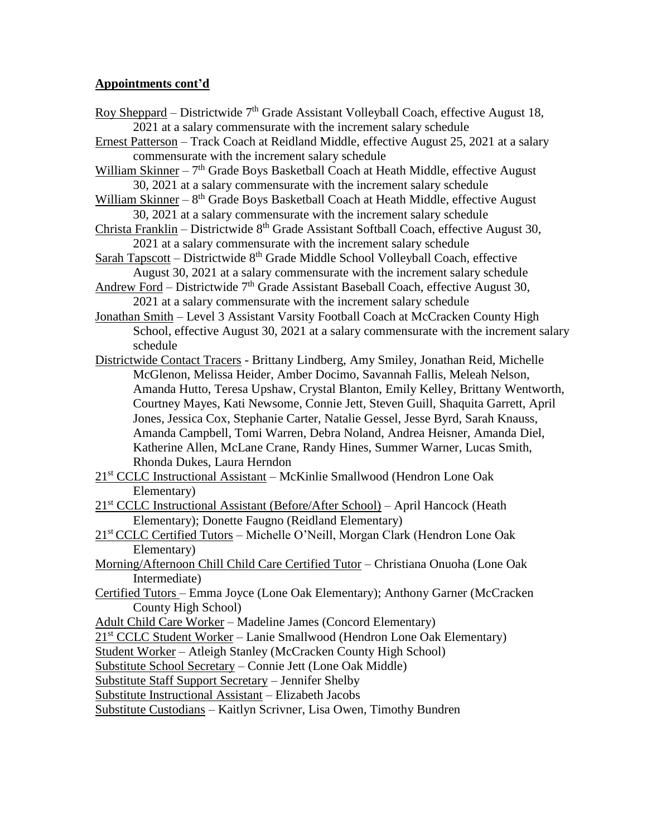- Roy Sheppard Districtwide  $7<sup>th</sup>$  Grade Assistant Volleyball Coach, effective August 18, 2021 at a salary commensurate with the increment salary schedule
- Ernest Patterson Track Coach at Reidland Middle, effective August 25, 2021 at a salary commensurate with the increment salary schedule
- William Skinner 7<sup>th</sup> Grade Boys Basketball Coach at Heath Middle, effective August 30, 2021 at a salary commensurate with the increment salary schedule
- William Skinner 8<sup>th</sup> Grade Boys Basketball Coach at Heath Middle, effective August 30, 2021 at a salary commensurate with the increment salary schedule
- Christa Franklin Districtwide  $8<sup>th</sup>$  Grade Assistant Softball Coach, effective August 30, 2021 at a salary commensurate with the increment salary schedule
- Sarah Tapscott Districtwide  $8<sup>th</sup>$  Grade Middle School Volleyball Coach, effective August 30, 2021 at a salary commensurate with the increment salary schedule
- Andrew Ford Districtwide  $7<sup>th</sup>$  Grade Assistant Baseball Coach, effective August 30, 2021 at a salary commensurate with the increment salary schedule
- Jonathan Smith Level 3 Assistant Varsity Football Coach at McCracken County High School, effective August 30, 2021 at a salary commensurate with the increment salary schedule
- Districtwide Contact Tracers Brittany Lindberg, Amy Smiley, Jonathan Reid, Michelle McGlenon, Melissa Heider, Amber Docimo, Savannah Fallis, Meleah Nelson, Amanda Hutto, Teresa Upshaw, Crystal Blanton, Emily Kelley, Brittany Wentworth, Courtney Mayes, Kati Newsome, Connie Jett, Steven Guill, Shaquita Garrett, April Jones, Jessica Cox, Stephanie Carter, Natalie Gessel, Jesse Byrd, Sarah Knauss, Amanda Campbell, Tomi Warren, Debra Noland, Andrea Heisner, Amanda Diel, Katherine Allen, McLane Crane, Randy Hines, Summer Warner, Lucas Smith, Rhonda Dukes, Laura Herndon
- 21st CCLC Instructional Assistant McKinlie Smallwood (Hendron Lone Oak Elementary)
- 21st CCLC Instructional Assistant (Before/After School) April Hancock (Heath Elementary); Donette Faugno (Reidland Elementary)
- 21st CCLC Certified Tutors Michelle O'Neill, Morgan Clark (Hendron Lone Oak Elementary)
- Morning/Afternoon Chill Child Care Certified Tutor Christiana Onuoha (Lone Oak Intermediate)
- Certified Tutors Emma Joyce (Lone Oak Elementary); Anthony Garner (McCracken County High School)

Adult Child Care Worker – Madeline James (Concord Elementary)

21st CCLC Student Worker – Lanie Smallwood (Hendron Lone Oak Elementary)

Student Worker – Atleigh Stanley (McCracken County High School)

Substitute School Secretary – Connie Jett (Lone Oak Middle)

Substitute Staff Support Secretary – Jennifer Shelby

Substitute Instructional Assistant – Elizabeth Jacobs

Substitute Custodians – Kaitlyn Scrivner, Lisa Owen, Timothy Bundren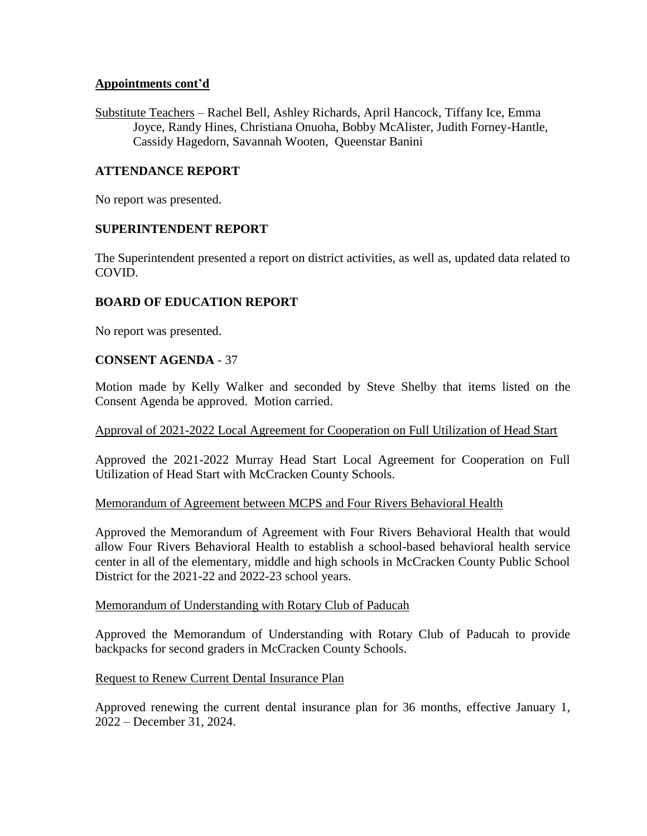Substitute Teachers – Rachel Bell, Ashley Richards, April Hancock, Tiffany Ice, Emma Joyce, Randy Hines, Christiana Onuoha, Bobby McAlister, Judith Forney-Hantle, Cassidy Hagedorn, Savannah Wooten, Queenstar Banini

# **ATTENDANCE REPORT**

No report was presented.

### **SUPERINTENDENT REPORT**

The Superintendent presented a report on district activities, as well as, updated data related to COVID.

### **BOARD OF EDUCATION REPORT**

No report was presented.

### **CONSENT AGENDA** - 37

Motion made by Kelly Walker and seconded by Steve Shelby that items listed on the Consent Agenda be approved. Motion carried.

### Approval of 2021-2022 Local Agreement for Cooperation on Full Utilization of Head Start

Approved the 2021-2022 Murray Head Start Local Agreement for Cooperation on Full Utilization of Head Start with McCracken County Schools.

### Memorandum of Agreement between MCPS and Four Rivers Behavioral Health

Approved the Memorandum of Agreement with Four Rivers Behavioral Health that would allow Four Rivers Behavioral Health to establish a school-based behavioral health service center in all of the elementary, middle and high schools in McCracken County Public School District for the 2021-22 and 2022-23 school years.

#### Memorandum of Understanding with Rotary Club of Paducah

Approved the Memorandum of Understanding with Rotary Club of Paducah to provide backpacks for second graders in McCracken County Schools.

### Request to Renew Current Dental Insurance Plan

Approved renewing the current dental insurance plan for 36 months, effective January 1, 2022 – December 31, 2024.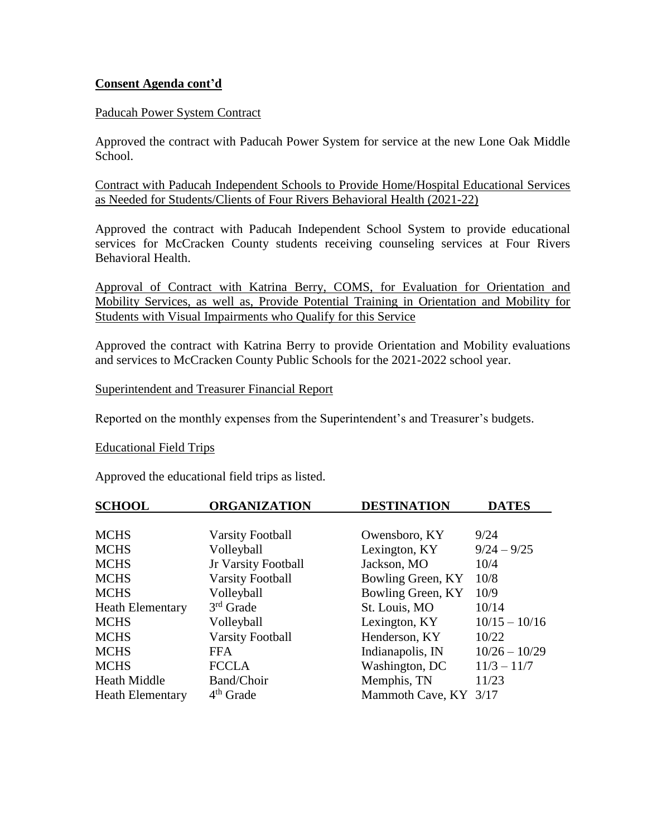### **Consent Agenda cont'd**

### Paducah Power System Contract

Approved the contract with Paducah Power System for service at the new Lone Oak Middle School.

Contract with Paducah Independent Schools to Provide Home/Hospital Educational Services as Needed for Students/Clients of Four Rivers Behavioral Health (2021-22)

Approved the contract with Paducah Independent School System to provide educational services for McCracken County students receiving counseling services at Four Rivers Behavioral Health.

Approval of Contract with Katrina Berry, COMS, for Evaluation for Orientation and Mobility Services, as well as, Provide Potential Training in Orientation and Mobility for Students with Visual Impairments who Qualify for this Service

Approved the contract with Katrina Berry to provide Orientation and Mobility evaluations and services to McCracken County Public Schools for the 2021-2022 school year.

Superintendent and Treasurer Financial Report

Reported on the monthly expenses from the Superintendent's and Treasurer's budgets.

### Educational Field Trips

Approved the educational field trips as listed.

| <b>SCHOOL</b>           | <b>ORGANIZATION</b>     | <b>DESTINATION</b>    | <b>DATES</b>    |
|-------------------------|-------------------------|-----------------------|-----------------|
|                         |                         |                       |                 |
| <b>MCHS</b>             | <b>Varsity Football</b> | Owensboro, KY         | 9/24            |
| <b>MCHS</b>             | Volleyball              | Lexington, KY         | $9/24 - 9/25$   |
| <b>MCHS</b>             | Jr Varsity Football     | Jackson, MO           | 10/4            |
| <b>MCHS</b>             | <b>Varsity Football</b> | Bowling Green, KY     | 10/8            |
| <b>MCHS</b>             | Volleyball              | Bowling Green, KY     | 10/9            |
| <b>Heath Elementary</b> | $3rd$ Grade             | St. Louis, MO         | 10/14           |
| <b>MCHS</b>             | Volleyball              | Lexington, KY         | $10/15 - 10/16$ |
| <b>MCHS</b>             | <b>Varsity Football</b> | Henderson, KY         | 10/22           |
| <b>MCHS</b>             | <b>FFA</b>              | Indianapolis, IN      | $10/26 - 10/29$ |
| <b>MCHS</b>             | <b>FCCLA</b>            | Washington, DC        | $11/3 - 11/7$   |
| <b>Heath Middle</b>     | Band/Choir              | Memphis, TN           | 11/23           |
| <b>Heath Elementary</b> | $4th$ Grade             | Mammoth Cave, KY 3/17 |                 |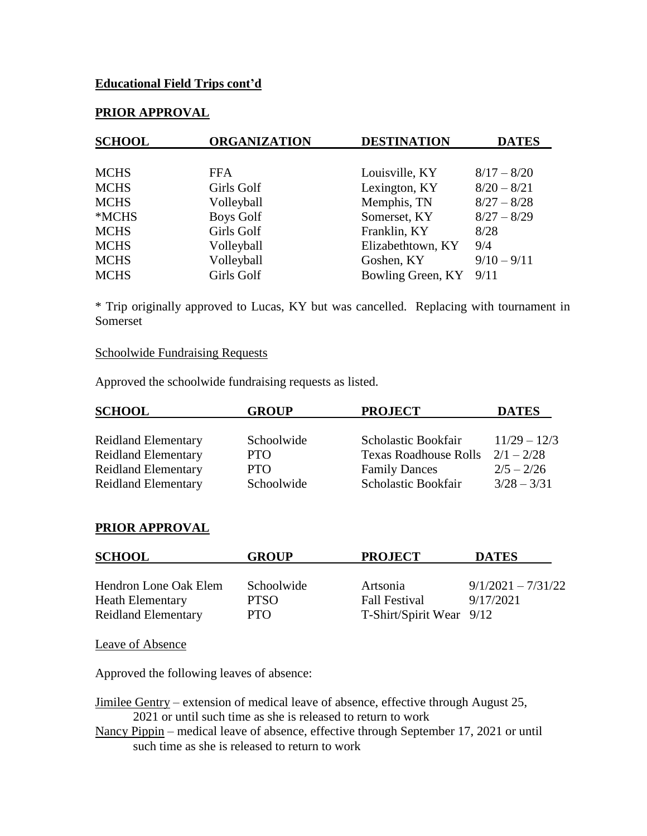### **Educational Field Trips cont'd**

# **PRIOR APPROVAL**

| <b>SCHOOL</b> | <b>ORGANIZATION</b> | <b>DESTINATION</b>     | <b>DATES</b>  |
|---------------|---------------------|------------------------|---------------|
|               |                     |                        |               |
| <b>MCHS</b>   | <b>FFA</b>          | Louisville, KY         | $8/17 - 8/20$ |
| <b>MCHS</b>   | Girls Golf          | Lexington, KY          | $8/20 - 8/21$ |
| <b>MCHS</b>   | Volleyball          | Memphis, TN            | $8/27 - 8/28$ |
| *MCHS         | <b>Boys Golf</b>    | Somerset, KY           | $8/27 - 8/29$ |
| <b>MCHS</b>   | Girls Golf          | Franklin, KY           | 8/28          |
| <b>MCHS</b>   | Volleyball          | Elizabethtown, KY      | 9/4           |
| <b>MCHS</b>   | Volleyball          | Goshen, KY             | $9/10 - 9/11$ |
| <b>MCHS</b>   | Girls Golf          | Bowling Green, KY 9/11 |               |

\* Trip originally approved to Lucas, KY but was cancelled. Replacing with tournament in Somerset

#### Schoolwide Fundraising Requests

Approved the schoolwide fundraising requests as listed.

| <b>SCHOOL</b>              | <b>GROUP</b> | <b>PROJECT</b>               | <b>DATES</b>   |
|----------------------------|--------------|------------------------------|----------------|
|                            |              |                              |                |
| <b>Reidland Elementary</b> | Schoolwide   | Scholastic Bookfair          | $11/29 - 12/3$ |
| <b>Reidland Elementary</b> | <b>PTO</b>   | <b>Texas Roadhouse Rolls</b> | $2/1 - 2/28$   |
| <b>Reidland Elementary</b> | <b>PTO</b>   | <b>Family Dances</b>         | $2/5 - 2/26$   |
| <b>Reidland Elementary</b> | Schoolwide   | Scholastic Bookfair          | $3/28 - 3/31$  |

#### **PRIOR APPROVAL**

| <b>SCHOOL</b>                                    | <b>GROUP</b>       | <b>PROJECT</b>                   | <b>DATES</b>                      |
|--------------------------------------------------|--------------------|----------------------------------|-----------------------------------|
| Hendron Lone Oak Elem<br><b>Heath Elementary</b> | Schoolwide<br>PTSO | Artsonia<br><b>Fall Festival</b> | $9/1/2021 - 7/31/22$<br>9/17/2021 |
| <b>Reidland Elementary</b>                       | PTO.               | T-Shirt/Spirit Wear 9/12         |                                   |

Leave of Absence

Approved the following leaves of absence:

Jimilee Gentry – extension of medical leave of absence, effective through August 25, 2021 or until such time as she is released to return to work

Nancy Pippin – medical leave of absence, effective through September 17, 2021 or until such time as she is released to return to work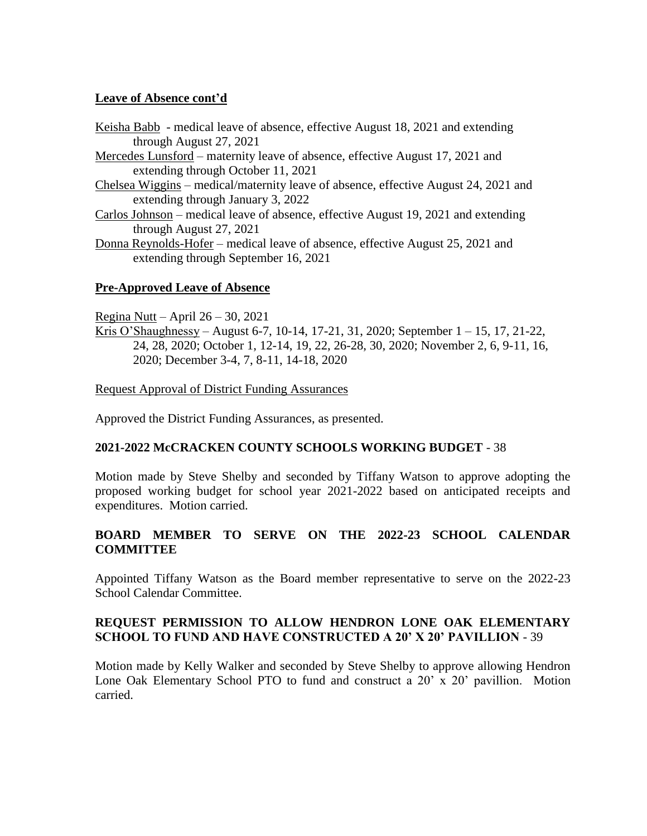### **Leave of Absence cont'd**

- Keisha Babb medical leave of absence, effective August 18, 2021 and extending through August 27, 2021
- Mercedes Lunsford maternity leave of absence, effective August 17, 2021 and extending through October 11, 2021
- Chelsea Wiggins medical/maternity leave of absence, effective August 24, 2021 and extending through January 3, 2022
- Carlos Johnson medical leave of absence, effective August 19, 2021 and extending through August 27, 2021
- Donna Reynolds-Hofer medical leave of absence, effective August 25, 2021 and extending through September 16, 2021

### **Pre-Approved Leave of Absence**

Regina Nutt – April  $26 - 30$ , 2021

Kris O'Shaughnessy – August 6-7, 10-14, 17-21, 31, 2020; September 1 – 15, 17, 21-22, 24, 28, 2020; October 1, 12-14, 19, 22, 26-28, 30, 2020; November 2, 6, 9-11, 16, 2020; December 3-4, 7, 8-11, 14-18, 2020

Request Approval of District Funding Assurances

Approved the District Funding Assurances, as presented.

### **2021-2022 McCRACKEN COUNTY SCHOOLS WORKING BUDGET** - 38

Motion made by Steve Shelby and seconded by Tiffany Watson to approve adopting the proposed working budget for school year 2021-2022 based on anticipated receipts and expenditures. Motion carried.

# **BOARD MEMBER TO SERVE ON THE 2022-23 SCHOOL CALENDAR COMMITTEE**

Appointed Tiffany Watson as the Board member representative to serve on the 2022-23 School Calendar Committee.

# **REQUEST PERMISSION TO ALLOW HENDRON LONE OAK ELEMENTARY SCHOOL TO FUND AND HAVE CONSTRUCTED A 20' X 20' PAVILLION** - 39

Motion made by Kelly Walker and seconded by Steve Shelby to approve allowing Hendron Lone Oak Elementary School PTO to fund and construct a 20' x 20' pavillion. Motion carried.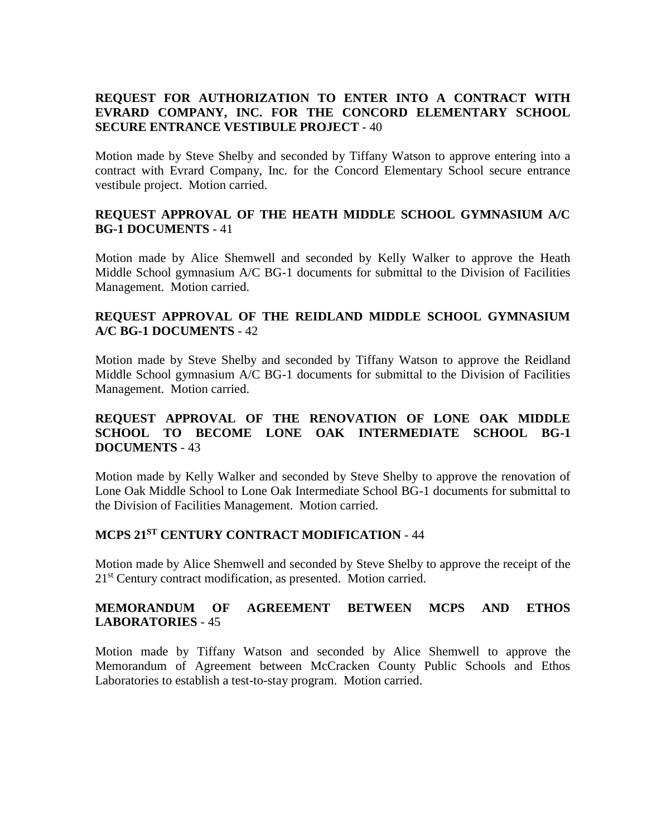# **REQUEST FOR AUTHORIZATION TO ENTER INTO A CONTRACT WITH EVRARD COMPANY, INC. FOR THE CONCORD ELEMENTARY SCHOOL SECURE ENTRANCE VESTIBULE PROJECT** - 40

Motion made by Steve Shelby and seconded by Tiffany Watson to approve entering into a contract with Evrard Company, Inc. for the Concord Elementary School secure entrance vestibule project. Motion carried.

### **REQUEST APPROVAL OF THE HEATH MIDDLE SCHOOL GYMNASIUM A/C BG-1 DOCUMENTS** - 41

Motion made by Alice Shemwell and seconded by Kelly Walker to approve the Heath Middle School gymnasium A/C BG-1 documents for submittal to the Division of Facilities Management. Motion carried.

### **REQUEST APPROVAL OF THE REIDLAND MIDDLE SCHOOL GYMNASIUM A/C BG-1 DOCUMENTS** - 42

Motion made by Steve Shelby and seconded by Tiffany Watson to approve the Reidland Middle School gymnasium A/C BG-1 documents for submittal to the Division of Facilities Management. Motion carried.

## **REQUEST APPROVAL OF THE RENOVATION OF LONE OAK MIDDLE SCHOOL TO BECOME LONE OAK INTERMEDIATE SCHOOL BG-1 DOCUMENTS** - 43

Motion made by Kelly Walker and seconded by Steve Shelby to approve the renovation of Lone Oak Middle School to Lone Oak Intermediate School BG-1 documents for submittal to the Division of Facilities Management. Motion carried.

### **MCPS 21ST CENTURY CONTRACT MODIFICATION** - 44

Motion made by Alice Shemwell and seconded by Steve Shelby to approve the receipt of the 21<sup>st</sup> Century contract modification, as presented. Motion carried.

### **MEMORANDUM OF AGREEMENT BETWEEN MCPS AND ETHOS LABORATORIES** - 45

Motion made by Tiffany Watson and seconded by Alice Shemwell to approve the Memorandum of Agreement between McCracken County Public Schools and Ethos Laboratories to establish a test-to-stay program. Motion carried.